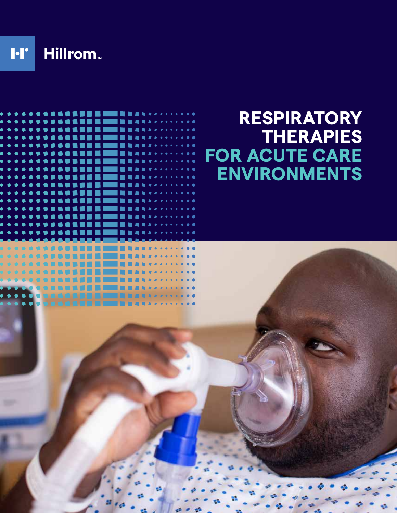

# **RESPIRATORY THERAPIES FOR ACUTE CARE ENVIRONMENTS**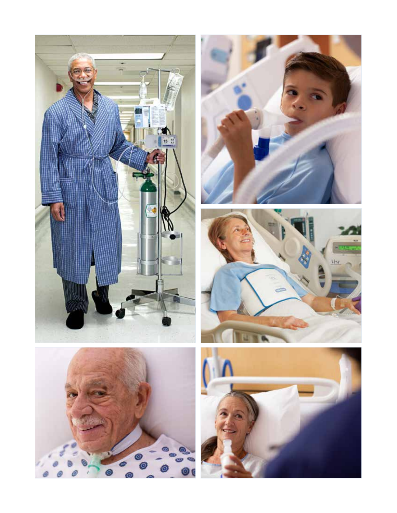





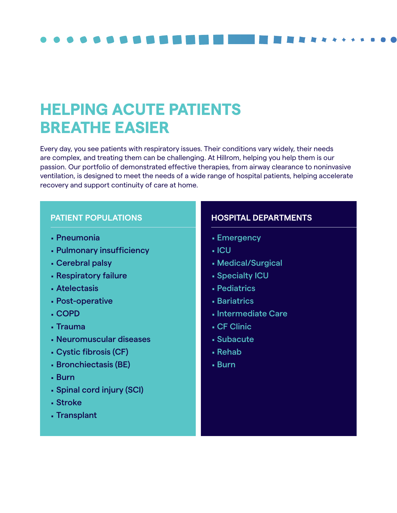# **HELPING ACUTE PATIENTS BREATHE EASIER**

Every day, you see patients with respiratory issues. Their conditions vary widely, their needs are complex, and treating them can be challenging. At Hillrom, helping you help them is our passion. Our portfolio of demonstrated effective therapies, from airway clearance to noninvasive ventilation, is designed to meet the needs of a wide range of hospital patients, helping accelerate recovery and support continuity of care at home.

## **PATIENT POPULATIONS**

- . Pneumonia
- . Pulmonary insufficiency
- . Cerebral palsy
- . Respiratory failure
- . Atelectasis
- . Post-operative
- . COPD
- . Trauma
- . Neuromuscular diseases
- . Cystic fibrosis (CF)
- . Bronchiectasis (BE)
- . Burn
- . Spinal cord injury (SCI)
- . Stroke
- . Transplant

# **HOSPITAL DEPARTMENTS**

- . Emergency
- . ICU
- . Medical/Surgical
- . Specialty ICU
- . Pediatrics
- . Bariatrics
- . Intermediate Care
- . CF Clinic
- . Subacute
- . Rehab
- . Burn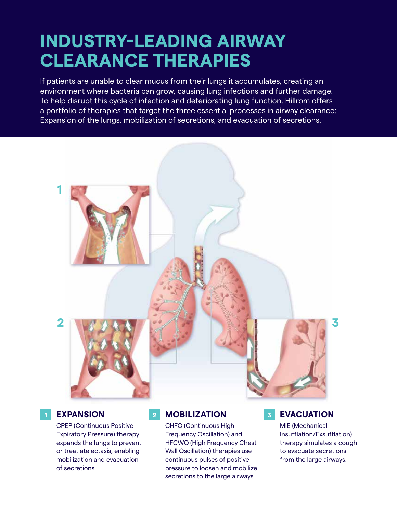# **INDUSTRY-LEADING AIRWAY CLEARANCE THERAPIES**

If patients are unable to clear mucus from their lungs it accumulates, creating an environment where bacteria can grow, causing lung infections and further damage. To help disrupt this cycle of infection and deteriorating lung function, Hillrom offers a portfolio of therapies that target the three essential processes in airway clearance: Expansion of the lungs, mobilization of secretions, and evacuation of secretions.



CPEP (Continuous Positive Expiratory Pressure) therapy expands the lungs to prevent or treat atelectasis, enabling mobilization and evacuation of secretions.

# **EXPANSION 1 EXPANSION**

CHFO (Continuous High Frequency Oscillation) and HFCWO (High Frequency Chest Wall Oscillation) therapies use continuous pulses of positive pressure to loosen and mobilize secretions to the large airways.

MIE (Mechanical Insufflation/Exsufflation) therapy simulates a cough to evacuate secretions from the large airways.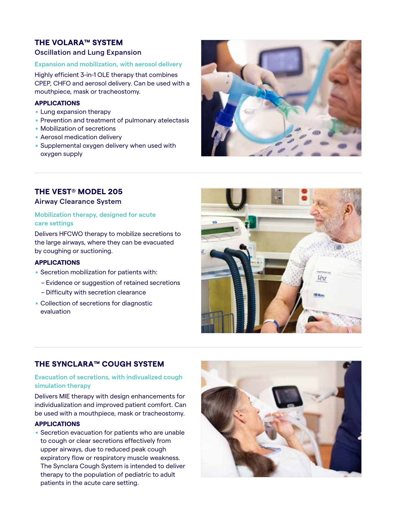## **THE VOLARA™ SYSTEM**

### Oscillation and Lung Expansion

#### **Expansion and mobilization, with aerosol delivery**

Highly efficient 3-in-1 OLE therapy that combines CPEP, CHFO and aerosol delivery. Can be used with a mouthpiece, mask or tracheostomy.

### **APPLICATIONS**

- **Lung expansion therapy**
- Lung expansion therapy<br>• Prevention and treatment of pulmonary atelectasis **Prevention and treatment**<br>**Mobilization of secretions**
- Mobilization of secretions<br>• Aerosol medication delivery
- 
- . Supplemental oxygen delivery when used with oxygen supply



## **THE VEST® MODEL 205**

#### Airway Clearance System

#### **Mobilization therapy, designed for acute care settings**

Delivers HFCWO therapy to mobilize secretions to the large airways, where they can be evacuated by coughing or suctioning.

#### **APPLICATIONS**

- . Secretion mobilization for patients with:
	- Evidence or suggestion of retained secretions
	- Difficulty with secretion clearance
- . Collection of secretions for diagnostic evaluation



## **THE SYNCLARA™ COUGH SYSTEM**

### **Evacuation of secretions, with indivualized cough simulation therapy**

Delivers MIE therapy with design enhancements for individualization and improved patient comfort. Can be used with a mouthpiece, mask or tracheostomy.

#### **APPLICATIONS**

. Secretion evacuation for patients who are unable to cough or clear secretions effectively from upper airways, due to reduced peak cough expiratory flow or respiratory muscle weakness. The Synclara Cough System is intended to deliver therapy to the population of pediatric to adult patients in the acute care setting.

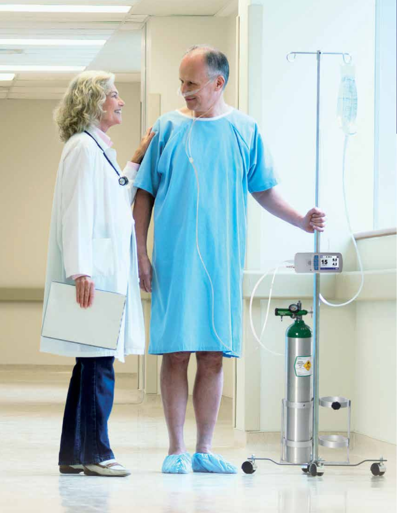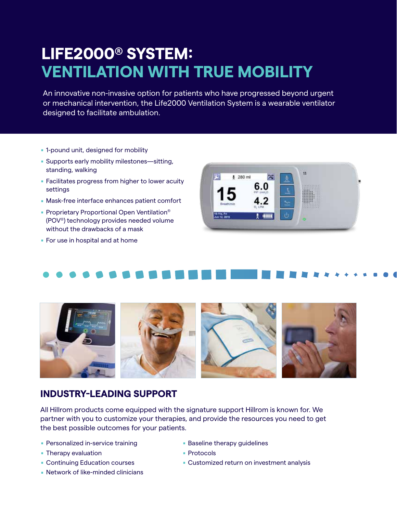# **LIFE2000® SYSTEM: VENTILATION WITH TRUE MOBILITY**

An innovative non-invasive option for patients who have progressed beyond urgent or mechanical intervention, the Life2000 Ventilation System is a wearable ventilator designed to facilitate ambulation.

- . 1-pound unit, designed for mobility
- . Supports early mobility milestones—sitting, standing, walking
- . Facilitates progress from higher to lower acuity settings
- . Mask-free interface enhances patient comfort
- Proprietary Proportional Open Ventilation<sup>®</sup> (POV®) technology provides needed volume without the drawbacks of a mask
- **For use in hospital and at home**





# **INDUSTRY-LEADING SUPPORT**

All Hillrom products come equipped with the signature support Hillrom is known for. We partner with you to customize your therapies, and provide the resources you need to get the best possible outcomes for your patients.

- . Personalized in-service training
- **Personalized in-ser**<br>Therapy evaluation
- **Therapy evaluation<br>• Continuing Education courses**
- Continuing Education courses<br>- Network of like-minded clinicians
- ..<br>• Baseline therapy guidelines
- Baseline t<br>■ Protocols
- **Protocols<br>Customized return on investment analysis**